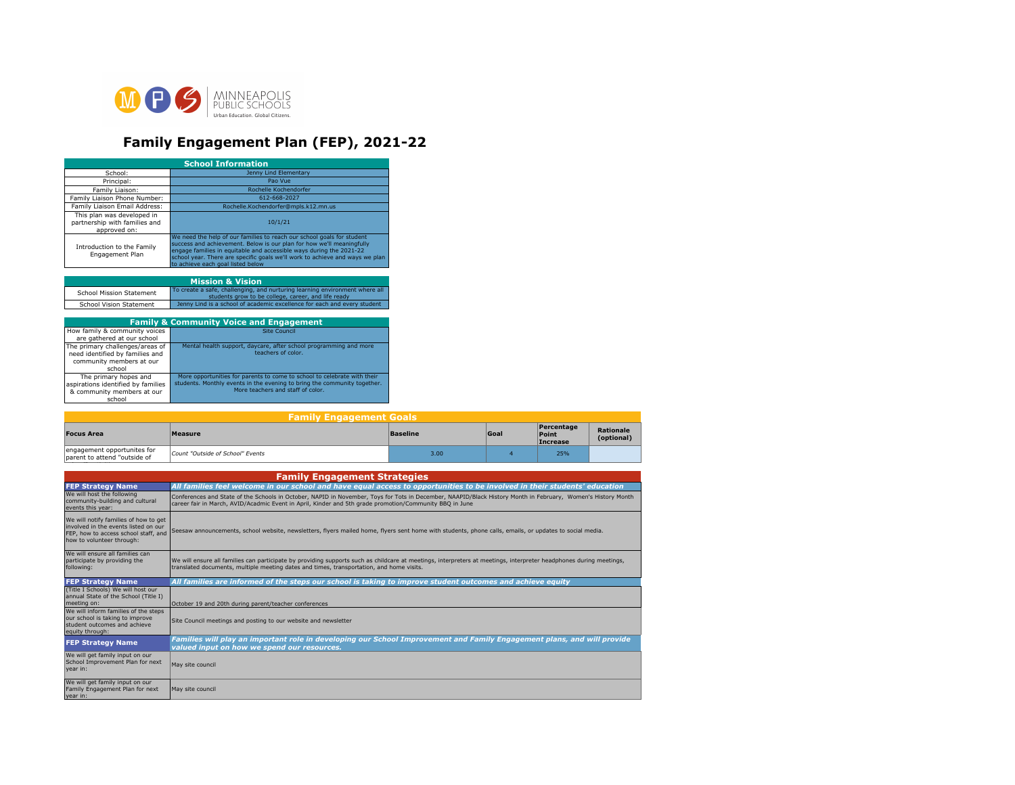

## **Family Engagement Plan (FEP), 2021-22**

| <b>School Information</b>                                                   |                                                                                                                                                                                                                                                                                                                                             |  |  |  |
|-----------------------------------------------------------------------------|---------------------------------------------------------------------------------------------------------------------------------------------------------------------------------------------------------------------------------------------------------------------------------------------------------------------------------------------|--|--|--|
| School:                                                                     | Jenny Lind Elementary                                                                                                                                                                                                                                                                                                                       |  |  |  |
| Principal:                                                                  | Pao Vue                                                                                                                                                                                                                                                                                                                                     |  |  |  |
| Family Liaison:                                                             | Rochelle Kochendorfer                                                                                                                                                                                                                                                                                                                       |  |  |  |
| Family Liaison Phone Number:                                                | 612-668-2027                                                                                                                                                                                                                                                                                                                                |  |  |  |
| Family Liaison Email Address:                                               | Rochelle.Kochendorfer@mpls.k12.mn.us                                                                                                                                                                                                                                                                                                        |  |  |  |
| This plan was developed in<br>partnership with families and<br>approved on: | 10/1/21                                                                                                                                                                                                                                                                                                                                     |  |  |  |
| Introduction to the Family<br>Engagement Plan                               | We need the help of our families to reach our school goals for student<br>success and achievement. Below is our plan for how we'll meaningfully<br>engage families in equitable and accessible ways during the 2021-22<br>school year. There are specific goals we'll work to achieve and ways we plan<br>to achieve each goal listed below |  |  |  |
|                                                                             |                                                                                                                                                                                                                                                                                                                                             |  |  |  |
|                                                                             | <b>Mission &amp; Vision</b>                                                                                                                                                                                                                                                                                                                 |  |  |  |
| School Mission Statement                                                    | To create a safe, challenging, and nurturing learning environment where all<br>students grow to be college, career, and life ready                                                                                                                                                                                                          |  |  |  |
| School Vision Statement                                                     | Jenny Lind is a school of academic excellence for each and every student                                                                                                                                                                                                                                                                    |  |  |  |
|                                                                             |                                                                                                                                                                                                                                                                                                                                             |  |  |  |
| <b>Family &amp; Community Voice and Engagement</b>                          |                                                                                                                                                                                                                                                                                                                                             |  |  |  |

| <b>Talling &amp; Community voice and Engagement</b>                                                      |                                                                                                                                                                                           |  |
|----------------------------------------------------------------------------------------------------------|-------------------------------------------------------------------------------------------------------------------------------------------------------------------------------------------|--|
| How family & community voices<br>are gathered at our school                                              | <b>Site Council</b>                                                                                                                                                                       |  |
| The primary challenges/areas of<br>need identified by families and<br>community members at our<br>school | Mental health support, daycare, after school programming and more<br>teachers of color.                                                                                                   |  |
| The primary hopes and<br>aspirations identified by families<br>& community members at our<br>school      | More opportunities for parents to come to school to celebrate with their<br>students. Monthly events in the evening to bring the community together.<br>More teachers and staff of color. |  |

school "activities" activities and activities activities and activities activities" activities and

| <b>Family Engagement Goals</b>                              |                                  |                 |      |                                 |                         |
|-------------------------------------------------------------|----------------------------------|-----------------|------|---------------------------------|-------------------------|
| <b>Focus Area</b>                                           | <b>Measure</b>                   | <b>Baseline</b> | Goal | Percentage<br>Point<br>Increase | Rationale<br>(optional) |
| engagement opportunites for<br>parent to attend "outside of | Count "Outside of School" Events | 3.00            |      | 25%                             |                         |

| <b>Family Engagement Strategies</b>                                                                                                                |                                                                                                                                                                                                                                                                         |  |  |  |
|----------------------------------------------------------------------------------------------------------------------------------------------------|-------------------------------------------------------------------------------------------------------------------------------------------------------------------------------------------------------------------------------------------------------------------------|--|--|--|
| <b>FEP Strategy Name</b>                                                                                                                           | All families feel welcome in our school and have equal access to opportunities to be involved in their students' education                                                                                                                                              |  |  |  |
| We will host the following<br>community-building and cultural<br>events this year:                                                                 | Conferences and State of the Schools in October, NAPID in November, Toys for Tots in December, NAAPID/Black History Month in February, Women's History Month<br>career fair in March, AVID/Acadmic Event in April, Kinder and 5th grade promotion/Community BBO in June |  |  |  |
| We will notify families of how to get<br>involved in the events listed on our<br>FEP, how to access school staff, and<br>how to volunteer through: | Seesaw announcements, school website, newsletters, flyers mailed home, flyers sent home with students, phone calls, emails, or updates to social media.                                                                                                                 |  |  |  |
| We will ensure all families can<br>participate by providing the<br>following:                                                                      | We will ensure all families can participate by providing supports such as childcare at meetings, interpreters at meetings, interpreter headphones during meetings,<br>translated documents, multiple meeting dates and times, transportation, and home visits.          |  |  |  |
| <b>FEP Strategy Name</b>                                                                                                                           | All families are informed of the steps our school is taking to improve student outcomes and achieve equity                                                                                                                                                              |  |  |  |
| (Title I Schools) We will host our<br>annual State of the School (Title I)<br>meeting on:                                                          | October 19 and 20th during parent/teacher conferences                                                                                                                                                                                                                   |  |  |  |
| We will inform families of the steps<br>our school is taking to improve<br>student outcomes and achieve<br>equity through:                         | Site Council meetings and posting to our website and newsletter                                                                                                                                                                                                         |  |  |  |
| <b>FEP Strategy Name</b>                                                                                                                           | Families will play an important role in developing our School Improvement and Family Engagement plans, and will provide<br>valued input on how we spend our resources.                                                                                                  |  |  |  |
| We will get family input on our<br>School Improvement Plan for next<br>year in:                                                                    | May site council                                                                                                                                                                                                                                                        |  |  |  |
| We will get family input on our<br>Family Engagement Plan for next<br>year in:                                                                     | May site council                                                                                                                                                                                                                                                        |  |  |  |